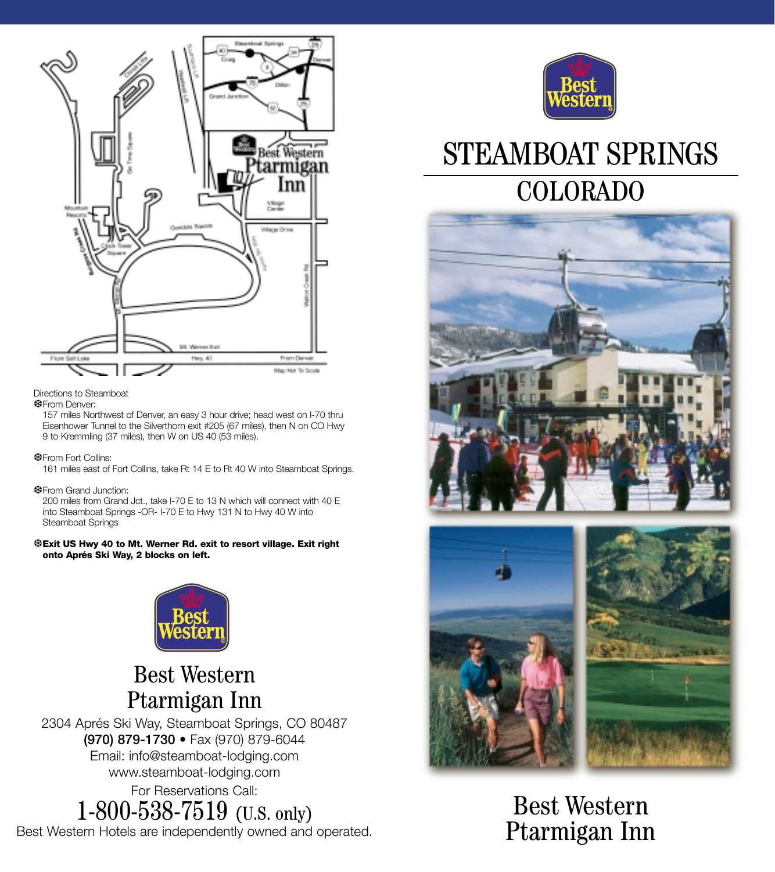

Directions to Steamboat

#### ❆From Denver:

157 miles Northwest of Denver, an easy 3 hour drive; head west on I-70 thru Eisenhower Tunnel to the Silverthorn exit #205 (67 miles), then N on CO Hwy 9 to Kremmling (37 miles), then W on US 40 (53 miles).

❆From Fort Collins:

161 miles east of Fort Collins, take Rt 14 E to Rt 40 W into Steamboat Springs.

❆From Grand Junction:

200 miles from Grand Jct., take I-70 E to 13 N which will connect with 40 E into Steamboat Springs -OR- I-70 E to Hwy 131 N to Hwy 40 W into Steamboat Springs

❆**Exit US Hwy 40 to Mt. Werner Rd. exit to resort village. Exit right onto Aprés Ski Way, 2 blocks on left.**



## Best Western Ptarmigan Inn

2304 Aprés Ski Way, Steamboat Springs, CO 80487 **(970) 879-1730** • Fax (970) 879-6044 Email: info@steamboat-lodging.com www.steamboat-lodging.com For Reservations Call: 1-800-538-7519 (U.S. only)

Best Western Hotels are independently owned and operated.



# STEAMBOAT SPRINGS COLORADO





Best Western Ptarmigan Inn